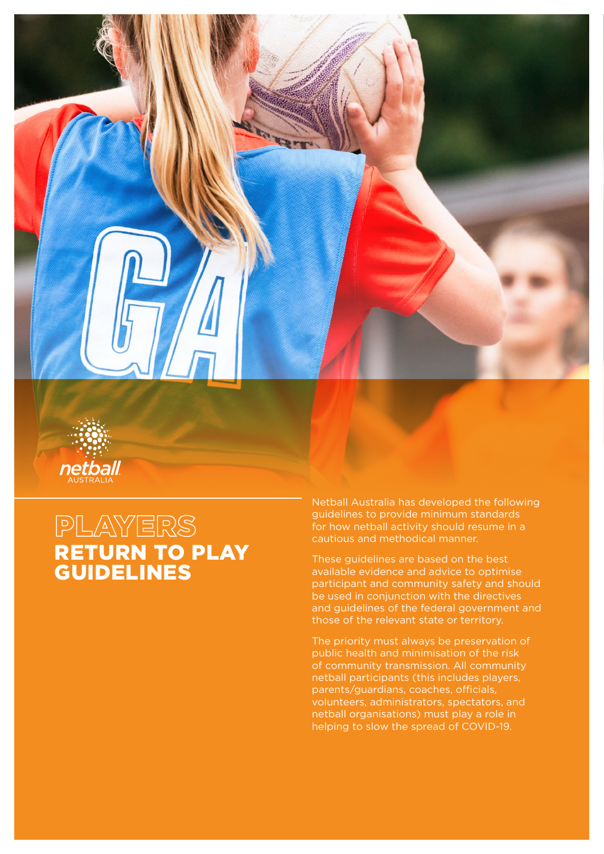



## PLAYERS RETURN TO PLAY GUIDELINES

Netball Australia has developed the following guidelines to provide minimum standards for how netball activity should resume in a cautious and methodical manner.

These guidelines are based on the best available evidence and advice to optimise participant and community safety and should be used in conjunction with the directives and guidelines of the federal government and those of the relevant state or territory.

The priority must always be preservation of public health and minimisation of the risk of community transmission. All community netball participants (this includes players, parents/guardians, coaches, officials, volunteers, administrators, spectators, and netball organisations) must play a role in helping to slow the spread of COVID-19.